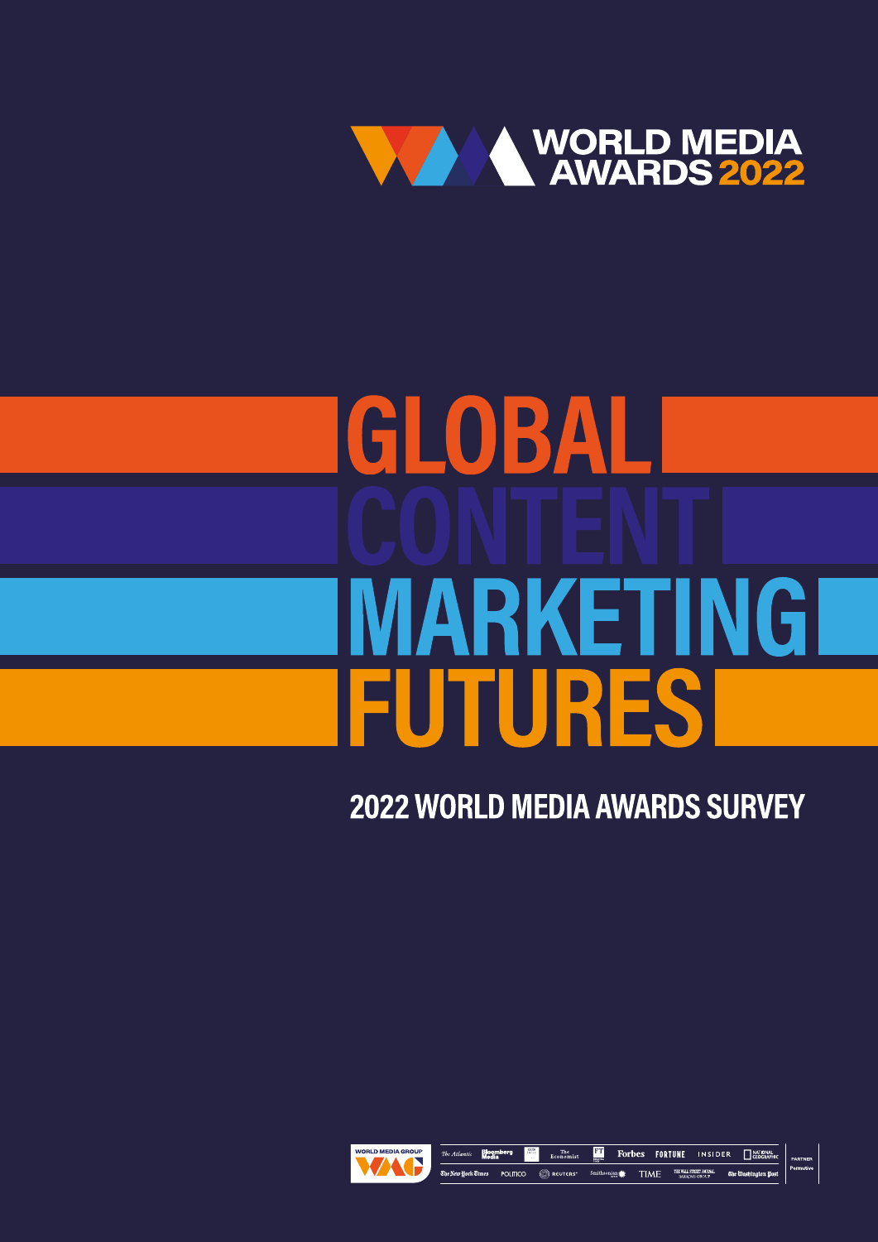

# GLOBAL MARKETINGI **FUTURES**

**2022 WORLD MEDIA AWARDS SURVEY** 



**FT** Forbes FORTUNE INSIDER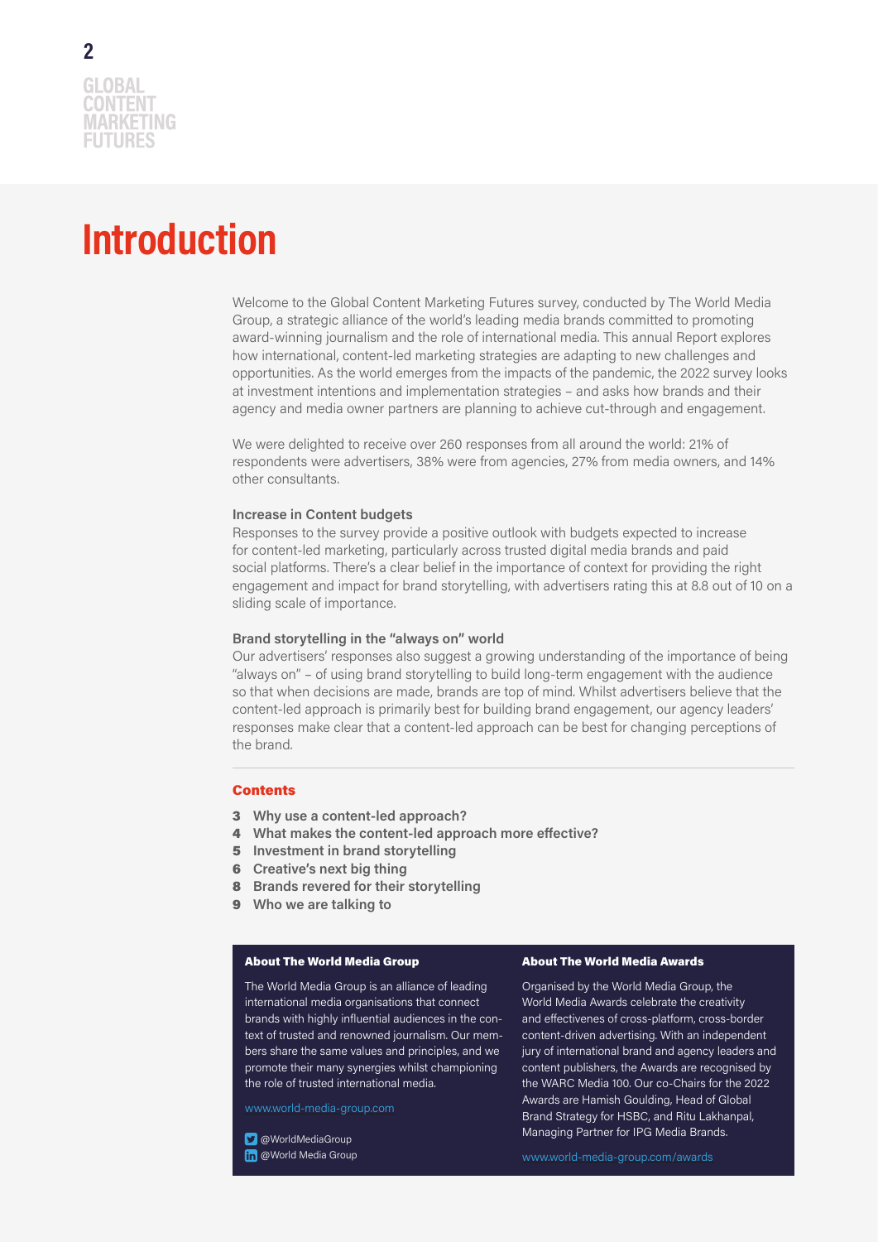### **Introduction**

Welcome to the Global Content Marketing Futures survey, conducted by The World Media Group, a strategic alliance of the world's leading media brands committed to promoting award-winning journalism and the role of international media. This annual Report explores how international, content-led marketing strategies are adapting to new challenges and opportunities. As the world emerges from the impacts of the pandemic, the 2022 survey looks at investment intentions and implementation strategies – and asks how brands and their agency and media owner partners are planning to achieve cut-through and engagement.

We were delighted to receive over 260 responses from all around the world: 21% of respondents were advertisers, 38% were from agencies, 27% from media owners, and 14% other consultants.

#### **Increase in Content budgets**

Responses to the survey provide a positive outlook with budgets expected to increase for content-led marketing, particularly across trusted digital media brands and paid social platforms. There's a clear belief in the importance of context for providing the right engagement and impact for brand storytelling, with advertisers rating this at 8.8 out of 10 on a sliding scale of importance.

#### **Brand storytelling in the "always on" world**

Our advertisers' responses also suggest a growing understanding of the importance of being "always on" – of using brand storytelling to build long-term engagement with the audience so that when decisions are made, brands are top of mind. Whilst advertisers believe that the content-led approach is primarily best for building brand engagement, our agency leaders' responses make clear that a content-led approach can be best for changing perceptions of the brand.

#### **Contents**

- 3 **Why use a content-led approach?**
- 4 **What makes the content-led approach more effective?**
- 5 **Investment in brand storytelling**
- 6 **Creative's next big thing**
- 8 **Brands revered for their storytelling**
- 9 **Who we are talking to**

#### About The World Media Group

The World Media Group is an alliance of leading international media organisations that connect brands with highly influential audiences in the context of trusted and renowned journalism. Our members share the same values and principles, and we promote their many synergies whilst championing the role of trusted international media.

www.world-media-group.com

**D** @WorldMediaGroup

**m** @World Media Group

#### About The World Media Awards

Organised by the World Media Group, the World Media Awards celebrate the creativity and effectivenes of cross-platform, cross-border content-driven advertising. With an independent jury of international brand and agency leaders and content publishers, the Awards are recognised by the WARC Media 100. Our co-Chairs for the 2022 Awards are Hamish Goulding, Head of Global Brand Strategy for HSBC, and Ritu Lakhanpal, Managing Partner for IPG Media Brands.

www.world-media-group.com/awards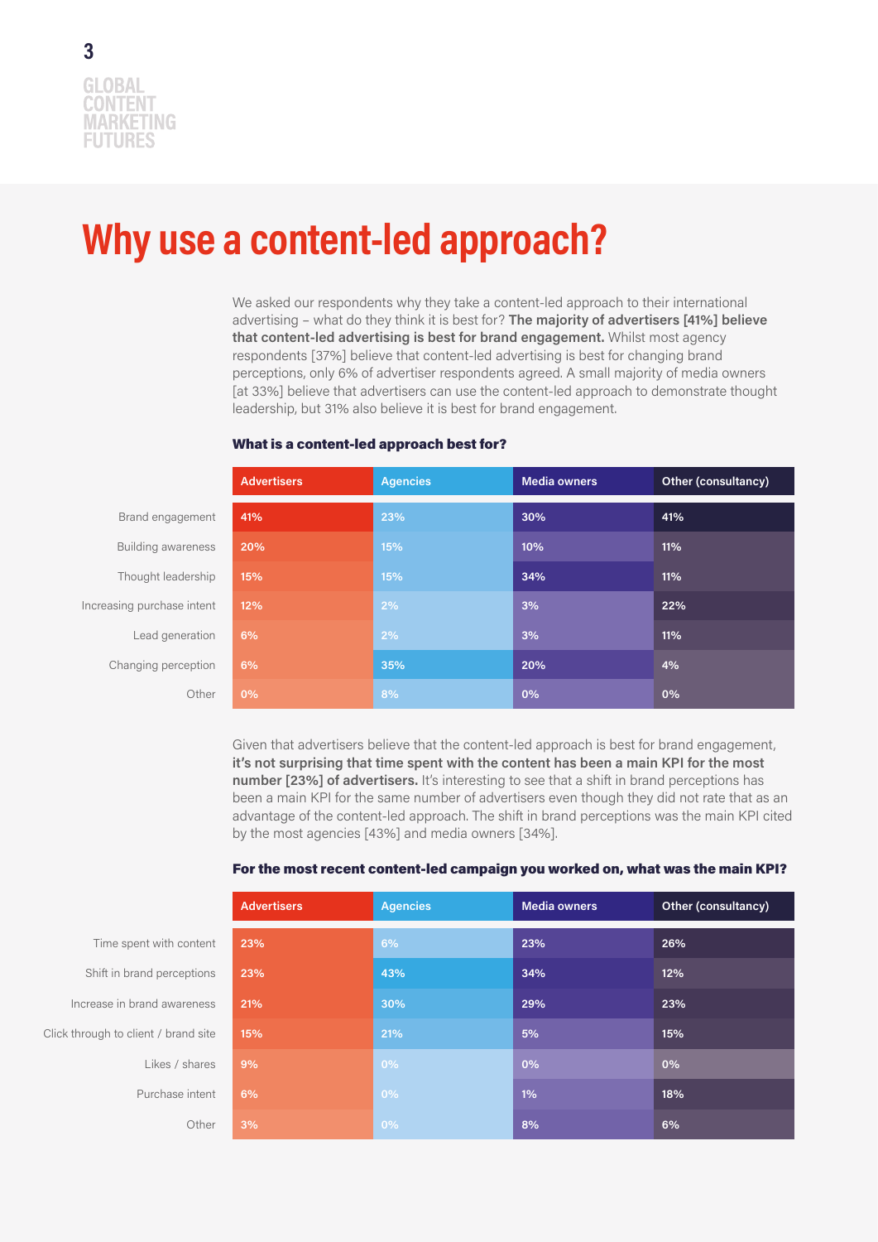### **Why use a content-led approach?**

We asked our respondents why they take a content-led approach to their international advertising – what do they think it is best for? **The majority of advertisers [41%] believe that content-led advertising is best for brand engagement.** Whilst most agency respondents [37%] believe that content-led advertising is best for changing brand perceptions, only 6% of advertiser respondents agreed. A small majority of media owners [at 33%] believe that advertisers can use the content-led approach to demonstrate thought leadership, but 31% also believe it is best for brand engagement.

|                            | <b>Advertisers</b> | <b>Agencies</b> | <b>Media owners</b> | Other (consultancy) |
|----------------------------|--------------------|-----------------|---------------------|---------------------|
| Brand engagement           | 41%                | 23%             | 30%                 | 41%                 |
| Building awareness         | 20%                | 15%             | 10%                 | 11%                 |
| Thought leadership         | 15%                | 15%             | 34%                 | 11%                 |
| Increasing purchase intent | 12%                | 2%              | 3%                  | 22%                 |
| Lead generation            | 6%                 | 2%              | 3%                  | 11%                 |
| Changing perception        | 6%                 | 35%             | 20%                 | 4%                  |
| Other                      | 0%                 | 8%              | 0%                  | 0%                  |

#### What is a content-led approach best for?

Given that advertisers believe that the content-led approach is best for brand engagement, **it's not surprising that time spent with the content has been a main KPI for the most number [23%] of advertisers.** It's interesting to see that a shift in brand perceptions has been a main KPI for the same number of advertisers even though they did not rate that as an advantage of the content-led approach. The shift in brand perceptions was the main KPI cited by the most agencies [43%] and media owners [34%].

| For the most recent content-led campaign you worked on, what was the main KPI? |  |
|--------------------------------------------------------------------------------|--|
|--------------------------------------------------------------------------------|--|

|    | <b>Advertisers</b> | Agencies | <b>Media owners</b> | Other (consultancy) |
|----|--------------------|----------|---------------------|---------------------|
| t  | 23%                | 6%       | 23%                 | 26%                 |
| S  | 23%                | 43%      | 34%                 | 12%                 |
| S. | 21%                | 30%      | 29%                 | 23%                 |
| Э  | 15%                | 21%      | 5%                  | 15%                 |
| S. | 9%                 | 0%       | 0%                  | 0%                  |
| t  | 6%                 | 0%       | 1%                  | 18%                 |
| r  | 3%                 | 0%       | 8%                  | 6%                  |

Time spent with conten Click through to client / brand site Shift in brand perception Likes / share Increase in brand awarenes Purchase intent  $O$ the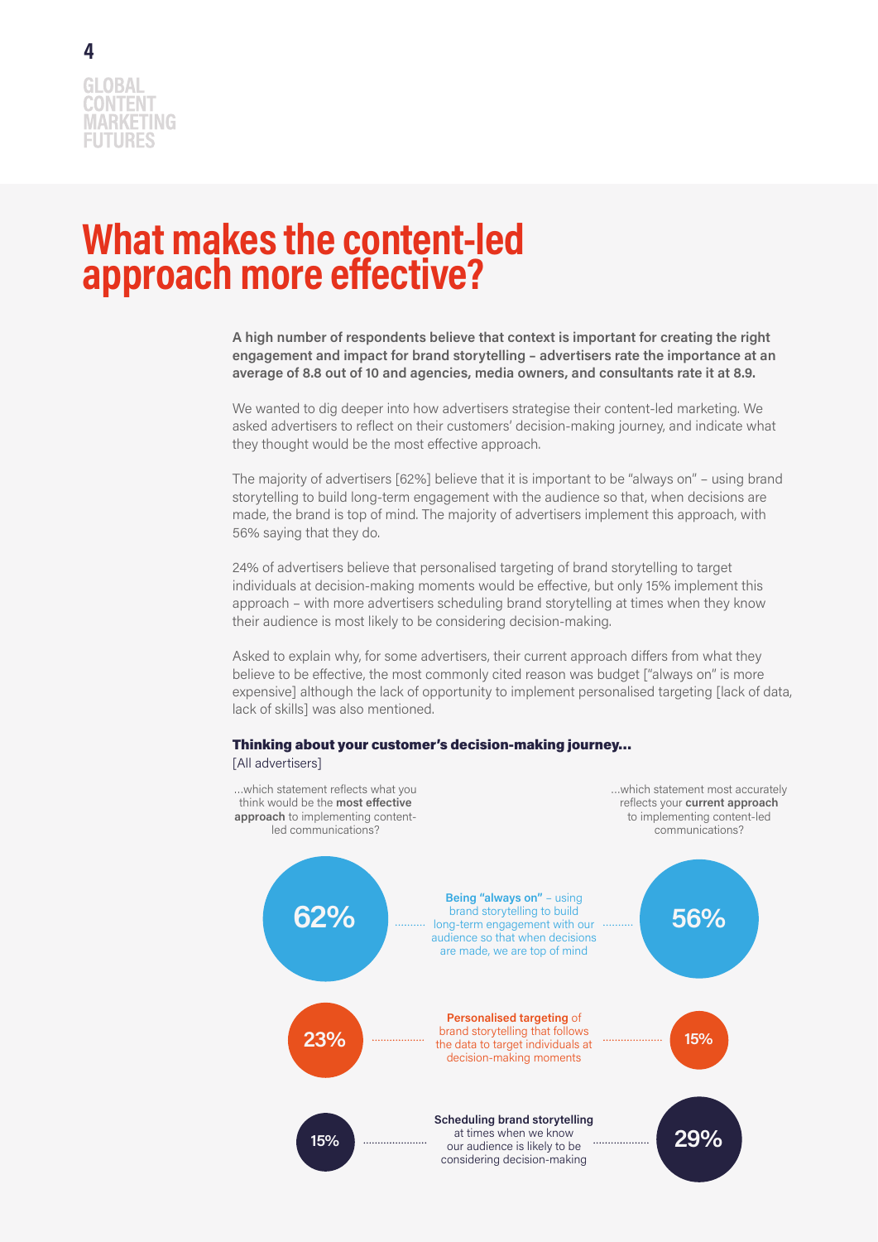

### **What makes the content-led approach more effective?**

**A high number of respondents believe that context is important for creating the right engagement and impact for brand storytelling – advertisers rate the importance at an average of 8.8 out of 10 and agencies, media owners, and consultants rate it at 8.9.**

We wanted to dig deeper into how advertisers strategise their content-led marketing. We asked advertisers to reflect on their customers' decision-making journey, and indicate what they thought would be the most effective approach.

The majority of advertisers [62%] believe that it is important to be "always on" – using brand storytelling to build long-term engagement with the audience so that, when decisions are made, the brand is top of mind. The majority of advertisers implement this approach, with 56% saying that they do.

24% of advertisers believe that personalised targeting of brand storytelling to target individuals at decision-making moments would be effective, but only 15% implement this approach – with more advertisers scheduling brand storytelling at times when they know their audience is most likely to be considering decision-making.

Asked to explain why, for some advertisers, their current approach differs from what they believe to be effective, the most commonly cited reason was budget ["always on" is more expensive] although the lack of opportunity to implement personalised targeting [lack of data, lack of skills] was also mentioned.



[All advertisers]

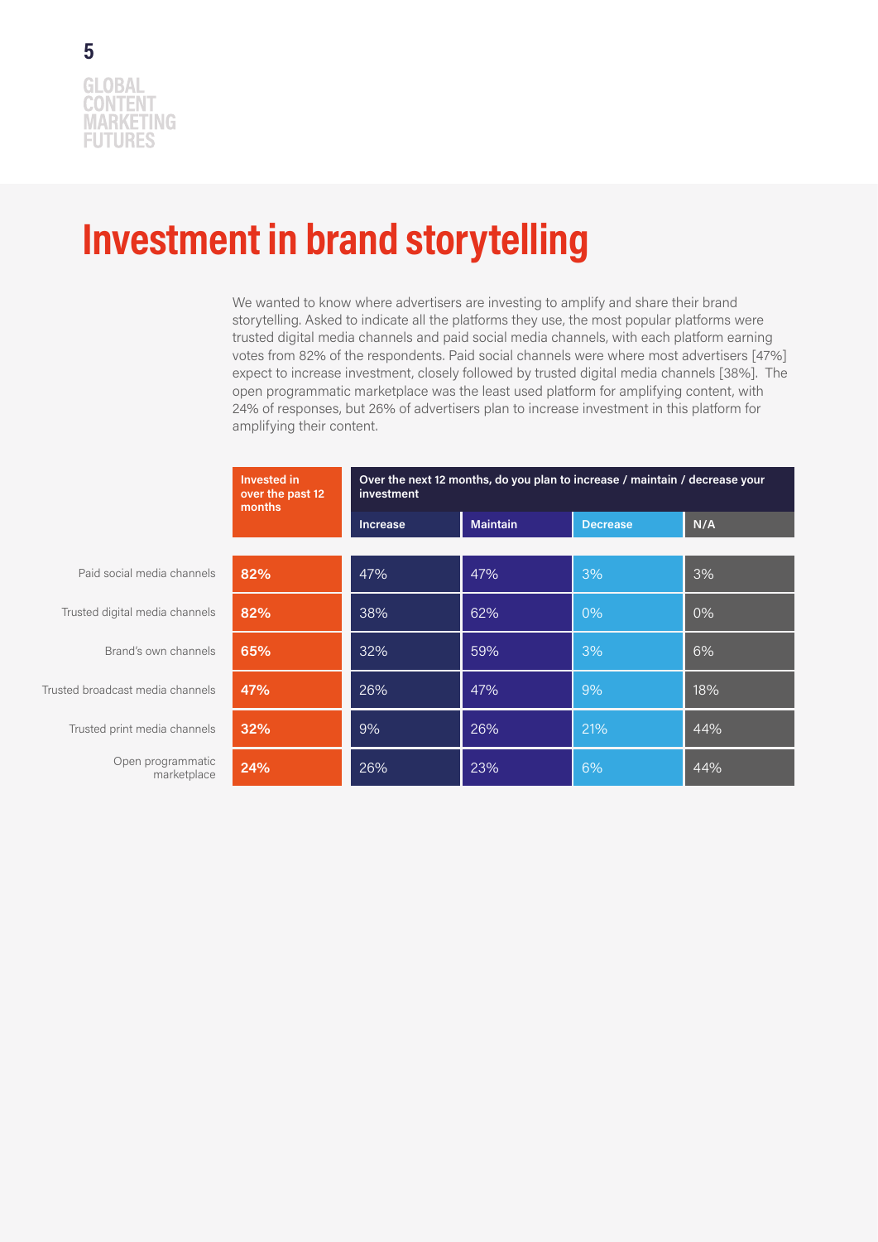### **Investment in brand storytelling**

We wanted to know where advertisers are investing to amplify and share their brand storytelling. Asked to indicate all the platforms they use, the most popular platforms were trusted digital media channels and paid social media channels, with each platform earning votes from 82% of the respondents. Paid social channels were where most advertisers [47%] expect to increase investment, closely followed by trusted digital media channels [38%]. The open programmatic marketplace was the least used platform for amplifying content, with 24% of responses, but 26% of advertisers plan to increase investment in this platform for amplifying their content.

|                                  | Invested in<br>over the past 12<br>months | Over the next 12 months, do you plan to increase / maintain / decrease your<br>investment |                 |                 |     |
|----------------------------------|-------------------------------------------|-------------------------------------------------------------------------------------------|-----------------|-----------------|-----|
|                                  |                                           | Increase                                                                                  | <b>Maintain</b> | <b>Decrease</b> | N/A |
|                                  |                                           |                                                                                           |                 |                 |     |
| Paid social media channels       | 82%                                       | 47%                                                                                       | 47%             | 3%              | 3%  |
| Trusted digital media channels   | 82%                                       | 38%                                                                                       | 62%             | 0%              | 0%  |
| Brand's own channels             | 65%                                       | 32%                                                                                       | 59%             | 3%              | 6%  |
| Trusted broadcast media channels | 47%                                       | 26%                                                                                       | 47%             | 9%              | 18% |
| Trusted print media channels     | 32%                                       | 9%                                                                                        | 26%             | 21%             | 44% |
| Open programmatic<br>marketplace | 24%                                       | 26%                                                                                       | 23%             | 6%              | 44% |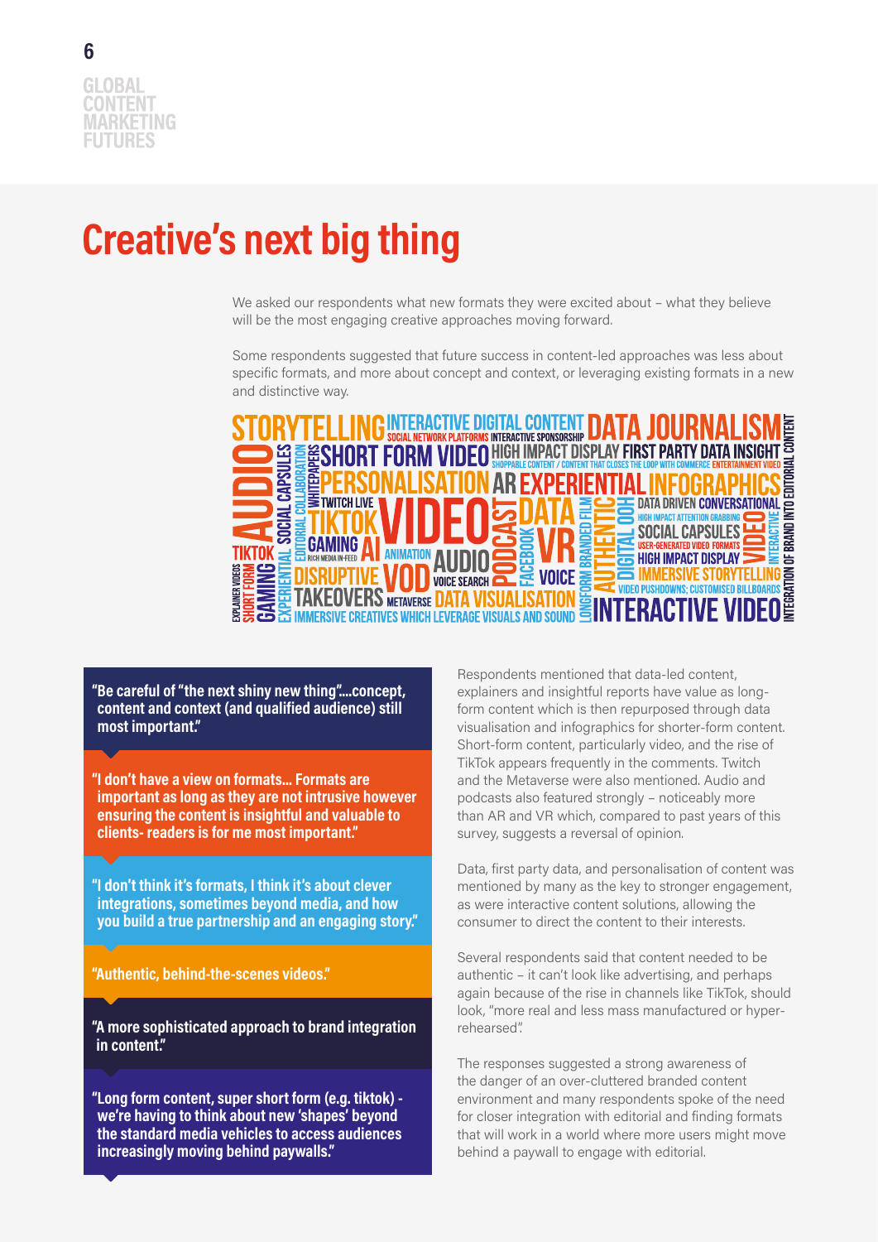# **Creative's next big thing**

We asked our respondents what new formats they were excited about – what they believe will be the most engaging creative approaches moving forward.

Some respondents suggested that future success in content-led approaches was less about specific formats, and more about concept and context, or leveraging existing formats in a new and distinctive way.



**"Be careful of "the next shiny new thing"....concept, content and context (and qualified audience) still most important."**

**"I don't have a view on formats... Formats are important as long as they are not intrusive however ensuring the content is insightful and valuable to clients- readers is for me most important."**

**"I don't think it's formats, I think it's about clever integrations, sometimes beyond media, and how you build a true partnership and an engaging story."**

**"Authentic, behind-the-scenes videos."**

**"A more sophisticated approach to brand integration in content."**

**"Long form content, super short form (e.g. tiktok) we're having to think about new 'shapes' beyond the standard media vehicles to access audiences increasingly moving behind paywalls."**

Respondents mentioned that data-led content, explainers and insightful reports have value as longform content which is then repurposed through data visualisation and infographics for shorter-form content. Short-form content, particularly video, and the rise of TikTok appears frequently in the comments. Twitch and the Metaverse were also mentioned. Audio and podcasts also featured strongly – noticeably more than AR and VR which, compared to past years of this survey, suggests a reversal of opinion.

Data, first party data, and personalisation of content was mentioned by many as the key to stronger engagement, as were interactive content solutions, allowing the consumer to direct the content to their interests.

Several respondents said that content needed to be authentic – it can't look like advertising, and perhaps again because of the rise in channels like TikTok, should look, "more real and less mass manufactured or hyperrehearsed".

The responses suggested a strong awareness of the danger of an over-cluttered branded content environment and many respondents spoke of the need for closer integration with editorial and finding formats that will work in a world where more users might move behind a paywall to engage with editorial.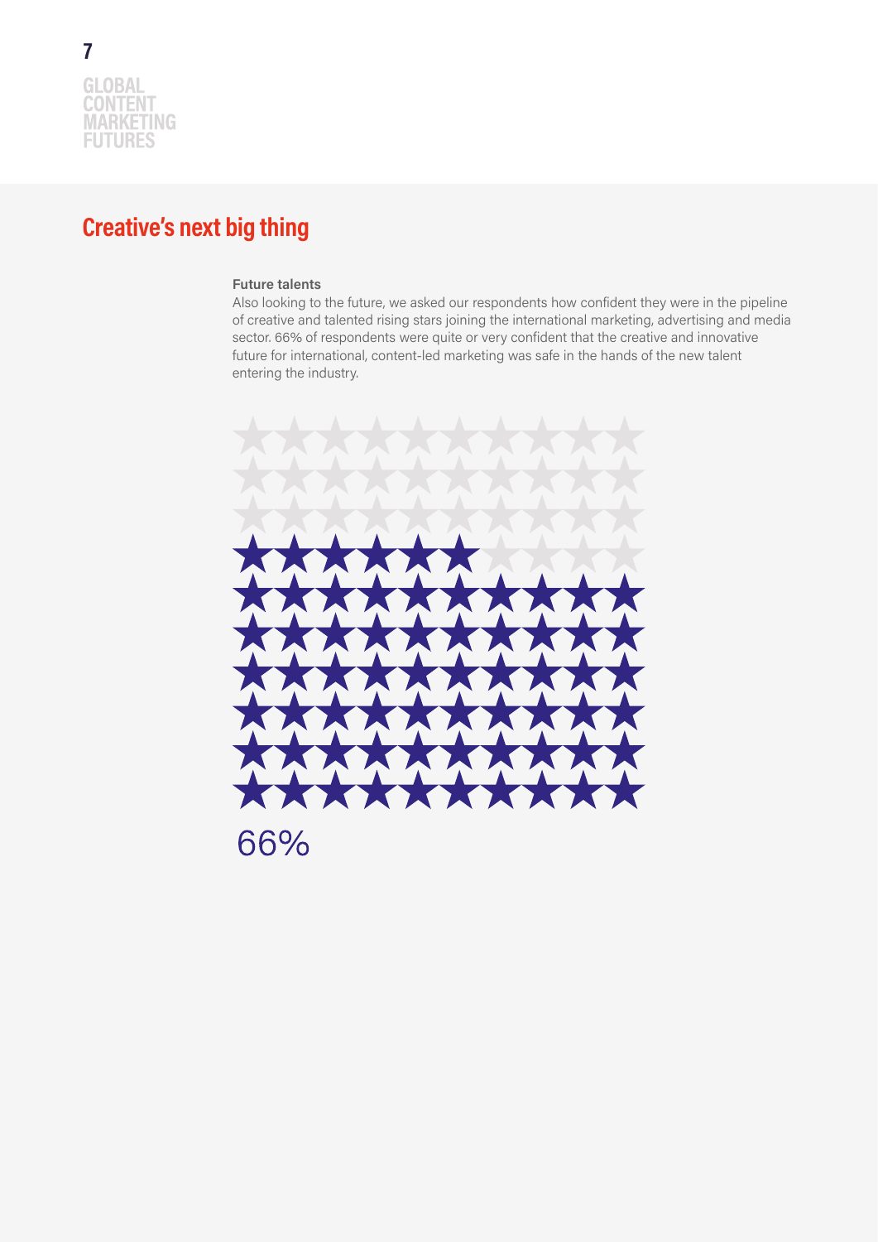### **Creative's next big thing**

### **Future talents**

Also looking to the future, we asked our respondents how confident they were in the pipeline of creative and talented rising stars joining the international marketing, advertising and media sector. 66% of respondents were quite or very confident that the creative and innovative future for international, content-led marketing was safe in the hands of the new talent entering the industry.

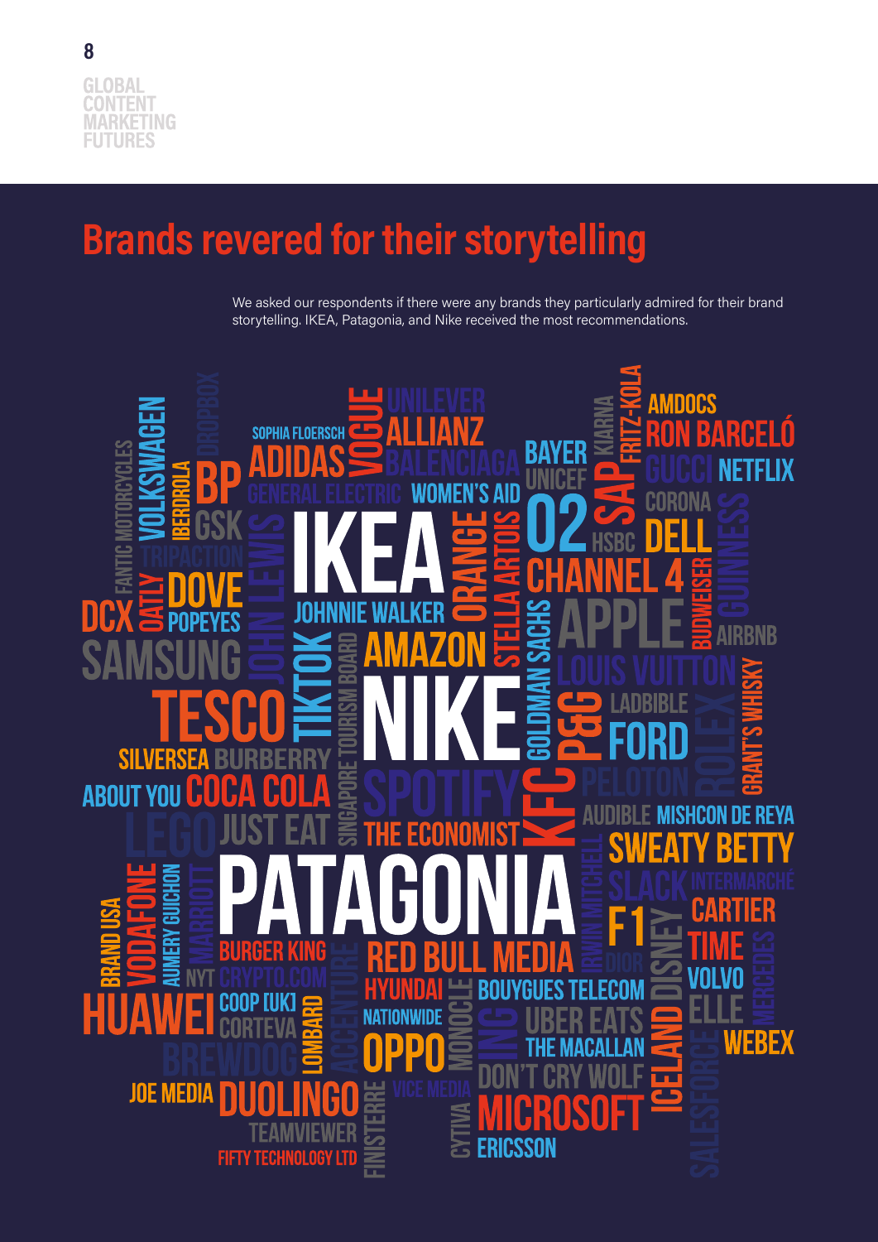# **Brands revered for their storytelling**

We asked our respondents if there were any brands they particularly admired for their brand storytelling. IKEA, Patagonia, and Nike received the most recommendations.

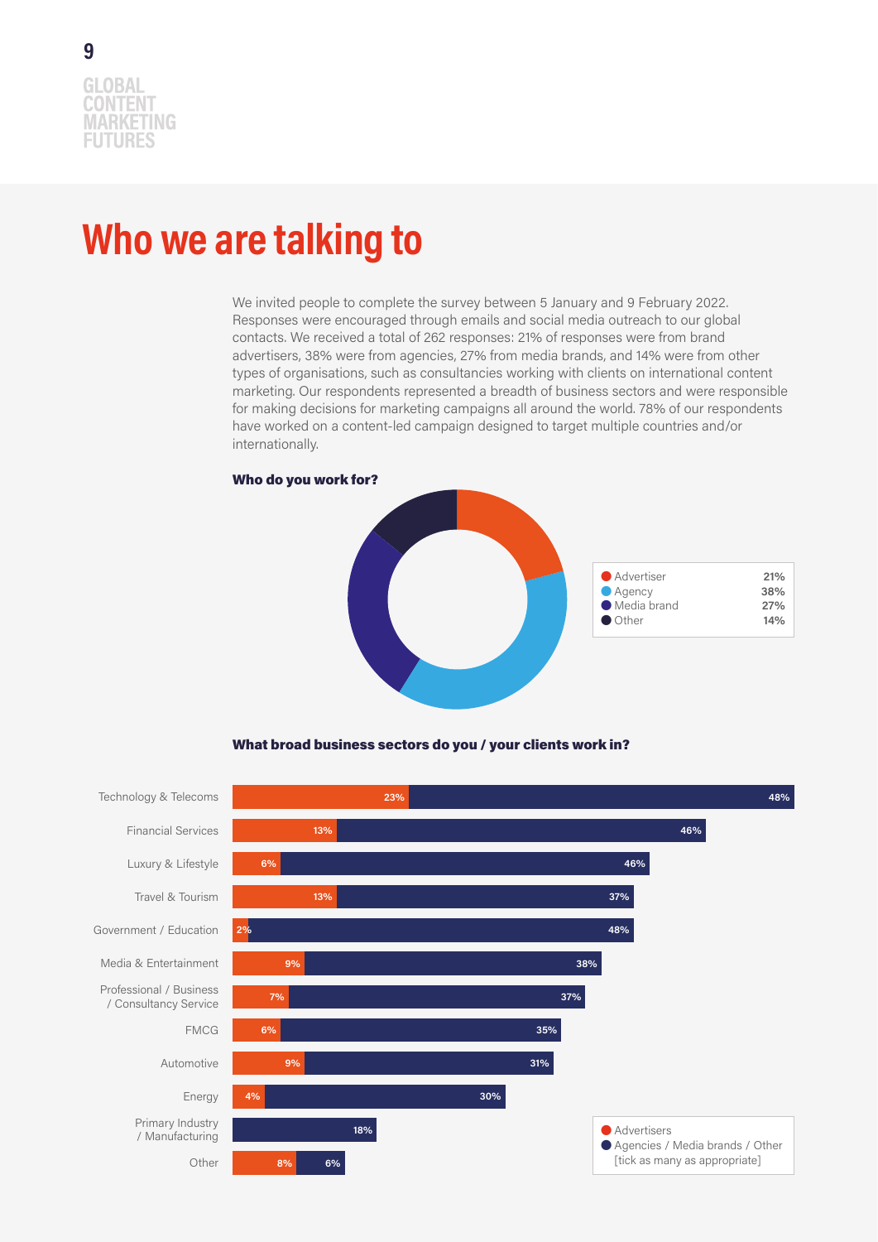### **Who we are talking to**

We invited people to complete the survey between 5 January and 9 February 2022. Responses were encouraged through emails and social media outreach to our global contacts. We received a total of 262 responses: 21% of responses were from brand advertisers, 38% were from agencies, 27% from media brands, and 14% were from other types of organisations, such as consultancies working with clients on international content marketing. Our respondents represented a breadth of business sectors and were responsible for making decisions for marketing campaigns all around the world. 78% of our respondents have worked on a content-led campaign designed to target multiple countries and/or internationally.



#### What broad business sectors do you / your clients work in?